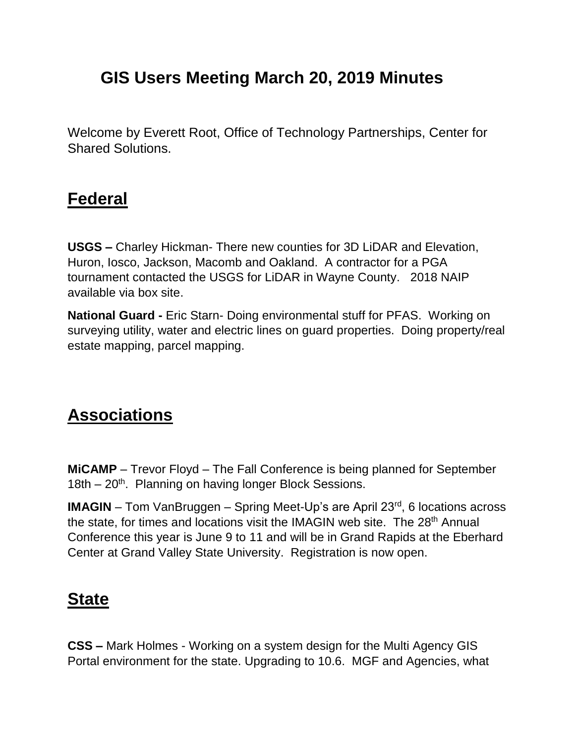# **GIS Users Meeting March 20, 2019 Minutes**

Welcome by Everett Root, Office of Technology Partnerships, Center for Shared Solutions.

### **Federal**

**USGS –** Charley Hickman- There new counties for 3D LiDAR and Elevation, Huron, Iosco, Jackson, Macomb and Oakland. A contractor for a PGA tournament contacted the USGS for LiDAR in Wayne County. 2018 NAIP available via box site.

**National Guard -** Eric Starn- Doing environmental stuff for PFAS. Working on surveying utility, water and electric lines on guard properties. Doing property/real estate mapping, parcel mapping.

## **Associations**

**MiCAMP** – Trevor Floyd – The Fall Conference is being planned for September 18th  $-20$ <sup>th</sup>. Planning on having longer Block Sessions.

**IMAGIN** – Tom VanBruggen – Spring Meet-Up's are April 23<sup>rd</sup>, 6 locations across the state, for times and locations visit the IMAGIN web site. The 28<sup>th</sup> Annual Conference this year is June 9 to 11 and will be in Grand Rapids at the Eberhard Center at Grand Valley State University. Registration is now open.

### **State**

**CSS –** Mark Holmes - Working on a system design for the Multi Agency GIS Portal environment for the state. Upgrading to 10.6. MGF and Agencies, what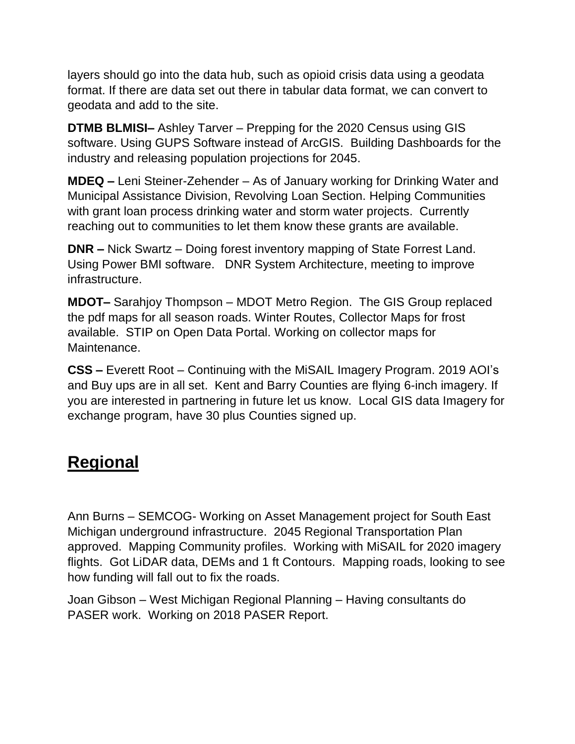layers should go into the data hub, such as opioid crisis data using a geodata format. If there are data set out there in tabular data format, we can convert to geodata and add to the site.

**DTMB BLMISI–** Ashley Tarver – Prepping for the 2020 Census using GIS software. Using GUPS Software instead of ArcGIS. Building Dashboards for the industry and releasing population projections for 2045.

**MDEQ –** Leni Steiner-Zehender – As of January working for Drinking Water and Municipal Assistance Division, Revolving Loan Section. Helping Communities with grant loan process drinking water and storm water projects. Currently reaching out to communities to let them know these grants are available.

**DNR –** Nick Swartz – Doing forest inventory mapping of State Forrest Land. Using Power BMI software. DNR System Architecture, meeting to improve infrastructure.

**MDOT–** Sarahjoy Thompson – MDOT Metro Region. The GIS Group replaced the pdf maps for all season roads. Winter Routes, Collector Maps for frost available. STIP on Open Data Portal. Working on collector maps for Maintenance.

**CSS –** Everett Root – Continuing with the MiSAIL Imagery Program. 2019 AOI's and Buy ups are in all set. Kent and Barry Counties are flying 6-inch imagery. If you are interested in partnering in future let us know. Local GIS data Imagery for exchange program, have 30 plus Counties signed up.

# **Regional**

Ann Burns – SEMCOG- Working on Asset Management project for South East Michigan underground infrastructure. 2045 Regional Transportation Plan approved. Mapping Community profiles. Working with MiSAIL for 2020 imagery flights. Got LiDAR data, DEMs and 1 ft Contours. Mapping roads, looking to see how funding will fall out to fix the roads.

Joan Gibson – West Michigan Regional Planning – Having consultants do PASER work. Working on 2018 PASER Report.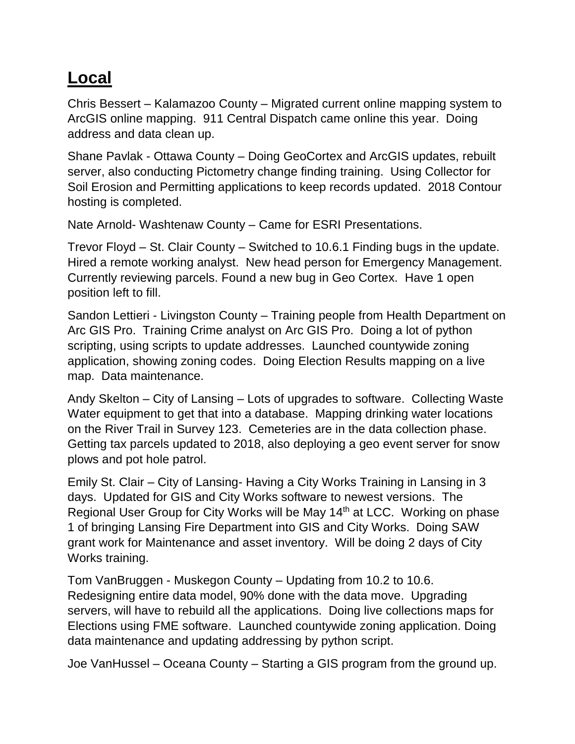# **Local**

Chris Bessert – Kalamazoo County – Migrated current online mapping system to ArcGIS online mapping. 911 Central Dispatch came online this year. Doing address and data clean up.

Shane Pavlak - Ottawa County – Doing GeoCortex and ArcGIS updates, rebuilt server, also conducting Pictometry change finding training. Using Collector for Soil Erosion and Permitting applications to keep records updated. 2018 Contour hosting is completed.

Nate Arnold- Washtenaw County – Came for ESRI Presentations.

Trevor Floyd – St. Clair County – Switched to 10.6.1 Finding bugs in the update. Hired a remote working analyst. New head person for Emergency Management. Currently reviewing parcels. Found a new bug in Geo Cortex. Have 1 open position left to fill.

Sandon Lettieri - Livingston County – Training people from Health Department on Arc GIS Pro. Training Crime analyst on Arc GIS Pro. Doing a lot of python scripting, using scripts to update addresses. Launched countywide zoning application, showing zoning codes. Doing Election Results mapping on a live map. Data maintenance.

Andy Skelton – City of Lansing – Lots of upgrades to software. Collecting Waste Water equipment to get that into a database. Mapping drinking water locations on the River Trail in Survey 123. Cemeteries are in the data collection phase. Getting tax parcels updated to 2018, also deploying a geo event server for snow plows and pot hole patrol.

Emily St. Clair – City of Lansing- Having a City Works Training in Lansing in 3 days. Updated for GIS and City Works software to newest versions. The Regional User Group for City Works will be May 14<sup>th</sup> at LCC. Working on phase 1 of bringing Lansing Fire Department into GIS and City Works. Doing SAW grant work for Maintenance and asset inventory. Will be doing 2 days of City Works training.

Tom VanBruggen - Muskegon County – Updating from 10.2 to 10.6. Redesigning entire data model, 90% done with the data move. Upgrading servers, will have to rebuild all the applications. Doing live collections maps for Elections using FME software. Launched countywide zoning application. Doing data maintenance and updating addressing by python script.

Joe VanHussel – Oceana County – Starting a GIS program from the ground up.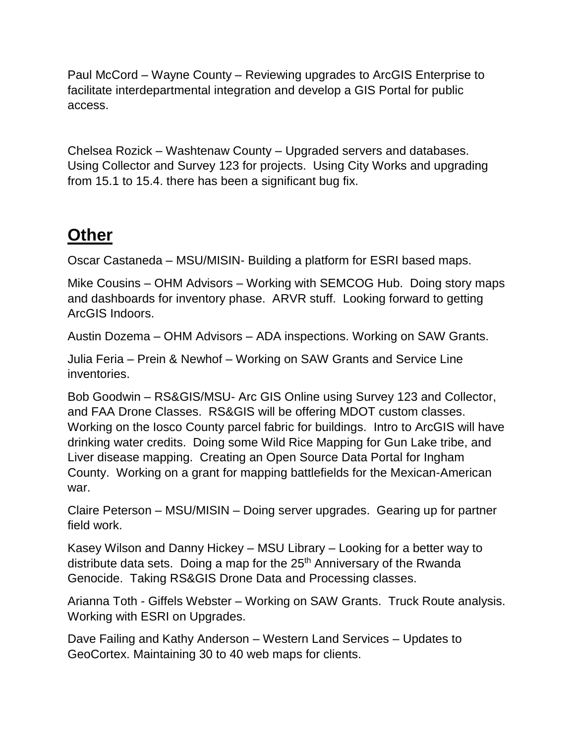Paul McCord – Wayne County – Reviewing upgrades to ArcGIS Enterprise to facilitate interdepartmental integration and develop a GIS Portal for public access.

Chelsea Rozick – Washtenaw County – Upgraded servers and databases. Using Collector and Survey 123 for projects. Using City Works and upgrading from 15.1 to 15.4. there has been a significant bug fix.

# **Other**

Oscar Castaneda – MSU/MISIN- Building a platform for ESRI based maps.

Mike Cousins – OHM Advisors – Working with SEMCOG Hub. Doing story maps and dashboards for inventory phase. ARVR stuff. Looking forward to getting ArcGIS Indoors.

Austin Dozema – OHM Advisors – ADA inspections. Working on SAW Grants.

Julia Feria – Prein & Newhof – Working on SAW Grants and Service Line inventories.

Bob Goodwin – RS&GIS/MSU- Arc GIS Online using Survey 123 and Collector, and FAA Drone Classes. RS&GIS will be offering MDOT custom classes. Working on the Iosco County parcel fabric for buildings. Intro to ArcGIS will have drinking water credits. Doing some Wild Rice Mapping for Gun Lake tribe, and Liver disease mapping. Creating an Open Source Data Portal for Ingham County. Working on a grant for mapping battlefields for the Mexican-American war.

Claire Peterson – MSU/MISIN – Doing server upgrades. Gearing up for partner field work.

Kasey Wilson and Danny Hickey – MSU Library – Looking for a better way to distribute data sets. Doing a map for the  $25<sup>th</sup>$  Anniversary of the Rwanda Genocide. Taking RS&GIS Drone Data and Processing classes.

Arianna Toth - Giffels Webster – Working on SAW Grants. Truck Route analysis. Working with ESRI on Upgrades.

Dave Failing and Kathy Anderson – Western Land Services – Updates to GeoCortex. Maintaining 30 to 40 web maps for clients.